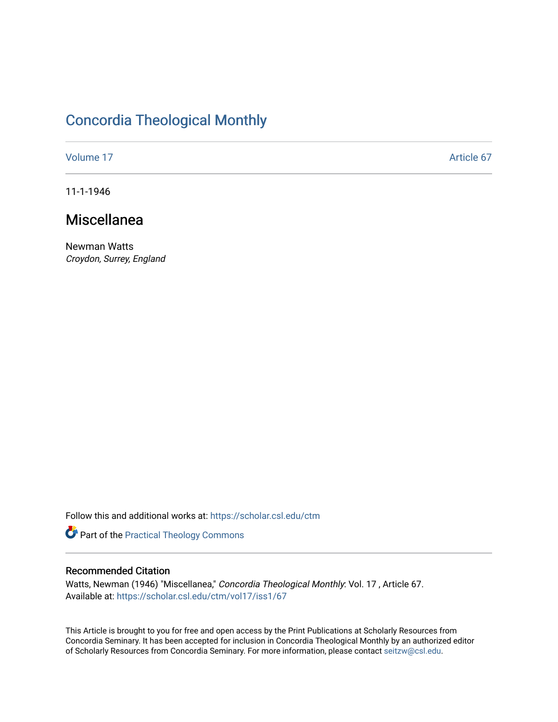# [Concordia Theological Monthly](https://scholar.csl.edu/ctm)

[Volume 17](https://scholar.csl.edu/ctm/vol17) Article 67

11-1-1946

## Miscellanea

Newman Watts Croydon, Surrey, England

Follow this and additional works at: [https://scholar.csl.edu/ctm](https://scholar.csl.edu/ctm?utm_source=scholar.csl.edu%2Fctm%2Fvol17%2Fiss1%2F67&utm_medium=PDF&utm_campaign=PDFCoverPages)

Part of the [Practical Theology Commons](http://network.bepress.com/hgg/discipline/1186?utm_source=scholar.csl.edu%2Fctm%2Fvol17%2Fiss1%2F67&utm_medium=PDF&utm_campaign=PDFCoverPages)

### Recommended Citation

Watts, Newman (1946) "Miscellanea," Concordia Theological Monthly: Vol. 17 , Article 67. Available at: [https://scholar.csl.edu/ctm/vol17/iss1/67](https://scholar.csl.edu/ctm/vol17/iss1/67?utm_source=scholar.csl.edu%2Fctm%2Fvol17%2Fiss1%2F67&utm_medium=PDF&utm_campaign=PDFCoverPages) 

This Article is brought to you for free and open access by the Print Publications at Scholarly Resources from Concordia Seminary. It has been accepted for inclusion in Concordia Theological Monthly by an authorized editor of Scholarly Resources from Concordia Seminary. For more information, please contact [seitzw@csl.edu](mailto:seitzw@csl.edu).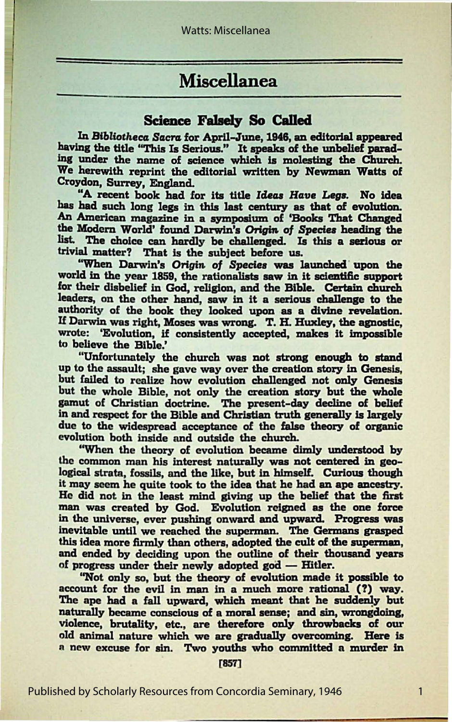## Miscellanea

### Science Falsely So Called

In *BibHotheca Sacra.* for April-June, 1948, an editorial appeared having the title "This Is Serious." It speaks of the unbelief parading under the name of science which is molesting the Church. We herewith reprint the editorial written by Newman Watts of Croydon, Surrey, England.

"A recent book had for its title Ideas Have Legs. No idea has had such long legs in this last century as that of evolution. An American magazine in a symposium of 'Books That Changed the Modern World' found Darwin's Origin of Species heading the list. The choice can hardly be challenged. Is this a serious or trivial matter? That is the subject before us.

"When Darwin's Origin of Species was launched upon the world in the year 1859, the rationalists saw in it scientific support for their disbelief in God, religion, and the Bible. Certain church leaders, on the other hand, saw in it a serious challenge to the authority of the book they looked upon as a divine revelation. If Darwin was right, Moses was wrong. T. H. Huxley, the agnostic, wrote: 'Evolution, if consistently accepted, makes it impossible to believe the Bible.'

"Unfortunately the church was not strong enough to stand up to the assault; she gave way over the creation story in Genesis. but failed to realize how evolution challenged not only Genesis but the whole Bible, not only the creation story but the whole gamut of Christian doctrine. The present-day decline of belief in and respect for the Bible and Christian truth generally is largely due to the widespread acceptance of the false theory of organic evolution both inside and outside the church.

''When the theory of evolution became dimly understood by the common man his interest naturally was not centered in geological strata, fossils, and the like, but in himself. Curious though it moy seem he quite took to the idea that he had **an ape** ancestry. He did not in the least mind giving up the belief that the first man was created by God. Evolution reigned as the one force in the universe, ever pushing onward and upward. Progress was inevitable until we reached the superman. The Germans grasped this idea more firmly than others, adopted the cult of the superman, and ended by deciding upon the outline of their thousand years of progress under their newly adopted god - Hitler.

''Not only so, but the theory of evolution made it possible to account for the evil in man in a much more rational (?) way. The ape had a fall upward, which meant that he suddenly but naturally became conscious of a moral sense; and sin, wrongdoing, violence, brutality, etc., are therefore only throwbacks of our old animal nature which we are gradually overcoming. Here is a new excuse for sin. Two youths who committed a murder in

[857]

1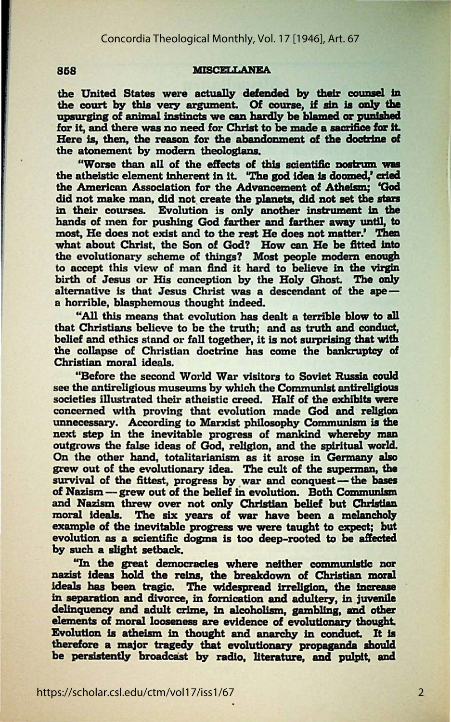#### 858 **MISCELLANEA**

the United States were actually defended by their counsel in the court by this very argument. Of course, if sin is only the upsurging of animal instincts we can hardly be blamed or punished for it, and there was no need for Christ to be made a sacrifice for it. Here is, then, the reason for the abandonment of the doctrine of the atonement by modern theologians.

"Worse than all of the effects of this scientific nostrum was the atheistic element inherent In IL 'The **god Idea la doomed,' c:rled**  the American Association for the Advancement of **Athelsm; 'God**  did not make man, did not create the planets, did not set the stars in their courses. Evolution is only another instrument in the hands of men for pushing God farther and farther away until, to most, He does not exist and to the rest He does not matter.' Then what about Christ, the Son of God? How can He be fitted Into the evolutionary scheme of things? Most people modern enough to accept this view of man find it hard to believe in the virgin birth of Jesus or His conception by the Holy Ghost. The only alternative is that Jesus Christ was a descendant of the  $ape$ a horrible, blasphemous thought indeed.

"All this means that evolution has dealt a terrible blow to all that Christians believe to be the truth; and as truth and conduct, belief and ethics stand or fall together, it is not surprising that with the collapse of Christian doctrine has come the bankruptcy of Christian moral ideals.

"Before the second World War visitors to Soviet Russia could see the antireligious museums by which the Communist antireligious societies illustrated their atheistic creed. Half of the exhibits were concerned with proving that evolution made God and religion unnecessary. According to Marxist philosophy Communism **la the**  next step in the inevitable progress of mankind whereby man outgrows the false ideas of God, religion, and the spiritual world. On the other hand, totalitarianism as it arose in Germany also grew out of the evolutionary idea. The cult of the superman, the survival of the fittest, progress by war and conquest-the bases of Nazism -- grew out of the belief in evolution. Both Communism and Nazism threw over not only Christian belief but Christian moral ideals. The six years of war have been a melancholy example of the inevitable progress we were taught to expect; but evolution **as a** scientific dogma is too deep-rooted to **be affected**  by such a alight setback.

"In the great democracies where neither communistic nor nazist ideas hold the reins, the breakdown of Christian moral ideals has been tragic. The widespread irreligion, the increase in separation and divorce, in fornication and adultery, in juvenile delinquency and adult crime, in alcoholism, gambling, and other elements of moral looseness are evidence of evolutionary thought. Evolution is atheism in thought and anarchy in conduct. It is therefore a major tragedy that evolutionary propaganda should be persistently broadcast by radio, literature, and pulpit, and

2